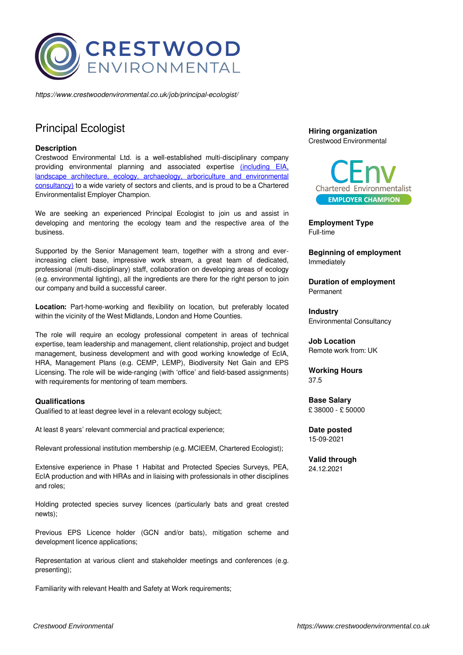

*https://www.crestwoodenvironmental.co.uk/job/principal-ecologist/*

# Principal Ecologist

## **Description**

Crestwood Environmental Ltd. is a well-established multi-disciplinary company providing environmental planning and associated expertise [\(including EIA,](https://www.crestwoodenvironmental.co.uk/services/) [landscape architecture, ecology, archaeology, arboriculture and environmental](https://www.crestwoodenvironmental.co.uk/services/) [consultancy\)](https://www.crestwoodenvironmental.co.uk/services/) to a wide variety of sectors and clients, and is proud to be a Chartered Environmentalist Employer Champion.

We are seeking an experienced Principal Ecologist to join us and assist in developing and mentoring the ecology team and the respective area of the business.

Supported by the Senior Management team, together with a strong and everincreasing client base, impressive work stream, a great team of dedicated, professional (multi-disciplinary) staff, collaboration on developing areas of ecology (e.g. environmental lighting), all the ingredients are there for the right person to join our company and build a successful career.

**Location:** Part-home-working and flexibility on location, but preferably located within the vicinity of the West Midlands, London and Home Counties.

The role will require an ecology professional competent in areas of technical expertise, team leadership and management, client relationship, project and budget management, business development and with good working knowledge of EcIA, HRA, Management Plans (e.g. CEMP, LEMP), Biodiversity Net Gain and EPS Licensing. The role will be wide-ranging (with 'office' and field-based assignments) with requirements for mentoring of team members.

### **Qualifications**

Qualified to at least degree level in a relevant ecology subject;

At least 8 years' relevant commercial and practical experience;

Relevant professional institution membership (e.g. MCIEEM, Chartered Ecologist);

Extensive experience in Phase 1 Habitat and Protected Species Surveys, PEA, EcIA production and with HRAs and in liaising with professionals in other disciplines and roles;

Holding protected species survey licences (particularly bats and great crested newts);

Previous EPS Licence holder (GCN and/or bats), mitigation scheme and development licence applications;

Representation at various client and stakeholder meetings and conferences (e.g. presenting);

Familiarity with relevant Health and Safety at Work requirements;

# **Hiring organization** Crestwood Environmental



**Employment Type** Full-time

**Beginning of employment** Immediately

**Duration of employment** Permanent

**Industry** Environmental Consultancy

**Job Location** Remote work from: UK

**Working Hours** 37.5

**Base Salary** £ 38000 - £ 50000

**Date posted** 15-09-2021

**Valid through** 24.12.2021